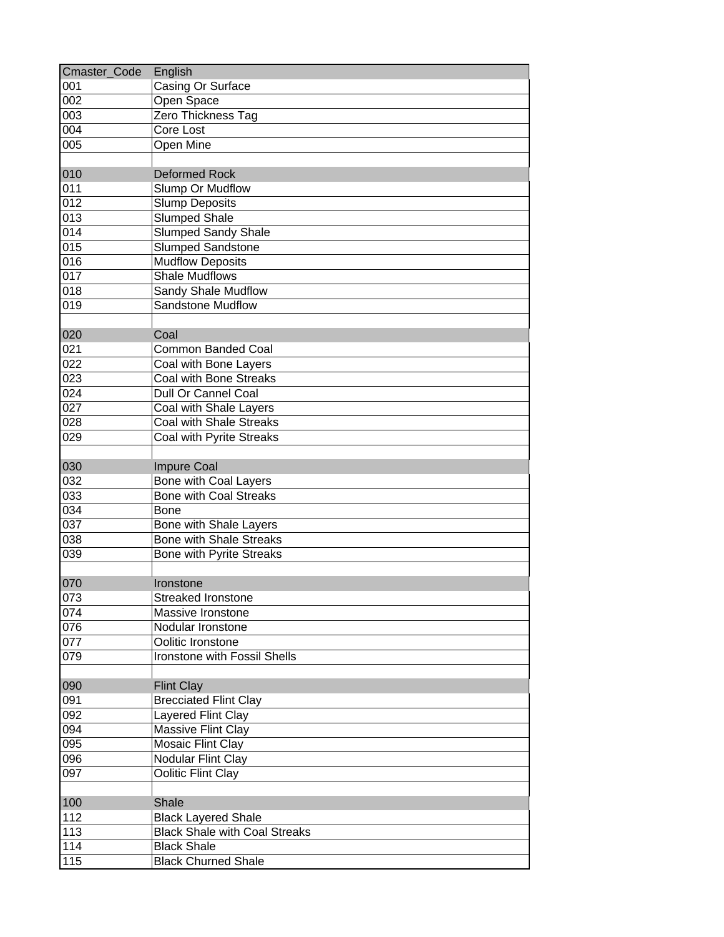| Cmaster_Code | English                              |
|--------------|--------------------------------------|
| 001          | Casing Or Surface                    |
| 002          | Open Space                           |
| 003          | Zero Thickness Tag                   |
| 004          | Core Lost                            |
| 005          | Open Mine                            |
| 010          | <b>Deformed Rock</b>                 |
| 011          | Slump Or Mudflow                     |
| 012          | <b>Slump Deposits</b>                |
| 013          | <b>Slumped Shale</b>                 |
| 014          | <b>Slumped Sandy Shale</b>           |
| 015          | <b>Slumped Sandstone</b>             |
| 016          | <b>Mudflow Deposits</b>              |
| 017          | <b>Shale Mudflows</b>                |
| 018          | Sandy Shale Mudflow                  |
| 019          | <b>Sandstone Mudflow</b>             |
| 020          | Coal                                 |
| 021          | <b>Common Banded Coal</b>            |
| 022          | Coal with Bone Layers                |
| 023          | Coal with Bone Streaks               |
| 024          | Dull Or Cannel Coal                  |
| 027          | Coal with Shale Layers               |
| 028          | Coal with Shale Streaks              |
| 029          | Coal with Pyrite Streaks             |
|              |                                      |
| 030          | <b>Impure Coal</b>                   |
| 032          | <b>Bone with Coal Layers</b>         |
| 033          | <b>Bone with Coal Streaks</b>        |
| 034          | Bone                                 |
| 037          | Bone with Shale Layers               |
| 038          | <b>Bone with Shale Streaks</b>       |
| 039          | <b>Bone with Pyrite Streaks</b>      |
|              |                                      |
| 070          | Ironstone                            |
| 073          | Streaked Ironstone                   |
| 074          | Massive Ironstone                    |
| 076          | Nodular Ironstone                    |
| 077          | Oolitic Ironstone                    |
| 079          | Ironstone with Fossil Shells         |
|              |                                      |
| 090          | <b>Flint Clay</b>                    |
| 091          | <b>Brecciated Flint Clay</b>         |
| 092          | Layered Flint Clay                   |
| 094          | <b>Massive Flint Clay</b>            |
| 095          | Mosaic Flint Clay                    |
| 096          | Nodular Flint Clay                   |
| 097          | Oolitic Flint Clay                   |
|              |                                      |
| 100          | Shale                                |
| 112          | <b>Black Layered Shale</b>           |
| 113          | <b>Black Shale with Coal Streaks</b> |
| 114          | <b>Black Shale</b>                   |
| 115          | <b>Black Churned Shale</b>           |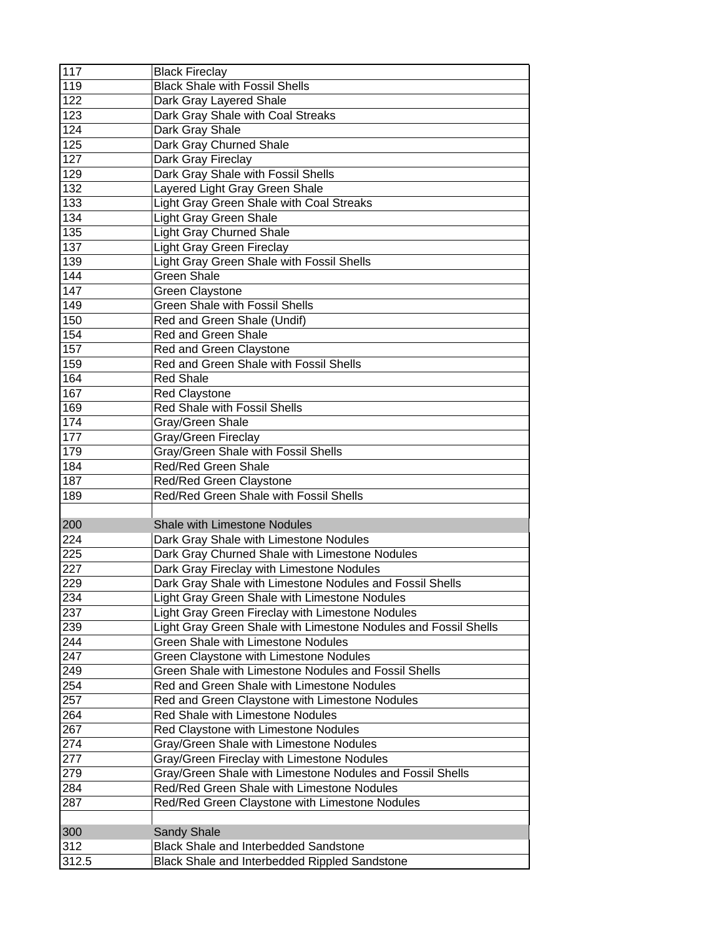| 117   | <b>Black Fireclay</b>                                             |
|-------|-------------------------------------------------------------------|
| 119   | <b>Black Shale with Fossil Shells</b>                             |
| 122   | Dark Gray Layered Shale                                           |
| 123   | Dark Gray Shale with Coal Streaks                                 |
| 124   | Dark Gray Shale                                                   |
| 125   | Dark Gray Churned Shale                                           |
| 127   | Dark Gray Fireclay                                                |
| 129   | Dark Gray Shale with Fossil Shells                                |
| 132   | Layered Light Gray Green Shale                                    |
| 133   | Light Gray Green Shale with Coal Streaks                          |
| 134   | <b>Light Gray Green Shale</b>                                     |
| 135   | <b>Light Gray Churned Shale</b>                                   |
| 137   | <b>Light Gray Green Fireclay</b>                                  |
| 139   | Light Gray Green Shale with Fossil Shells                         |
| 144   | <b>Green Shale</b>                                                |
| 147   | <b>Green Claystone</b>                                            |
| 149   | <b>Green Shale with Fossil Shells</b>                             |
| 150   | Red and Green Shale (Undif)                                       |
| 154   | <b>Red and Green Shale</b>                                        |
| 157   | Red and Green Claystone                                           |
| 159   | Red and Green Shale with Fossil Shells                            |
| 164   | <b>Red Shale</b>                                                  |
| 167   | <b>Red Claystone</b>                                              |
| 169   | Red Shale with Fossil Shells                                      |
| 174   | Gray/Green Shale                                                  |
| 177   | Gray/Green Fireclay                                               |
| 179   | Gray/Green Shale with Fossil Shells                               |
| 184   | Red/Red Green Shale                                               |
| 187   |                                                                   |
| 189   | Red/Red Green Claystone<br>Red/Red Green Shale with Fossil Shells |
|       |                                                                   |
| 200   | <b>Shale with Limestone Nodules</b>                               |
| 224   | Dark Gray Shale with Limestone Nodules                            |
| 225   |                                                                   |
|       | Dark Gray Churned Shale with Limestone Nodules                    |
| 227   | Dark Gray Fireclay with Limestone Nodules                         |
| 229   | Dark Gray Shale with Limestone Nodules and Fossil Shells          |
| 234   | Light Gray Green Shale with Limestone Nodules                     |
| 237   | Light Gray Green Fireclay with Limestone Nodules                  |
| 239   | Light Gray Green Shale with Limestone Nodules and Fossil Shells   |
| 244   | <b>Green Shale with Limestone Nodules</b>                         |
| 247   | Green Claystone with Limestone Nodules                            |
| 249   | Green Shale with Limestone Nodules and Fossil Shells              |
| 254   | Red and Green Shale with Limestone Nodules                        |
| 257   | Red and Green Claystone with Limestone Nodules                    |
| 264   | Red Shale with Limestone Nodules                                  |
| 267   | Red Claystone with Limestone Nodules                              |
| 274   | Gray/Green Shale with Limestone Nodules                           |
| 277   | Gray/Green Fireclay with Limestone Nodules                        |
| 279   | Gray/Green Shale with Limestone Nodules and Fossil Shells         |
| 284   | Red/Red Green Shale with Limestone Nodules                        |
| 287   | Red/Red Green Claystone with Limestone Nodules                    |
|       |                                                                   |
| 300   | <b>Sandy Shale</b>                                                |
| 312   | Black Shale and Interbedded Sandstone                             |
| 312.5 | Black Shale and Interbedded Rippled Sandstone                     |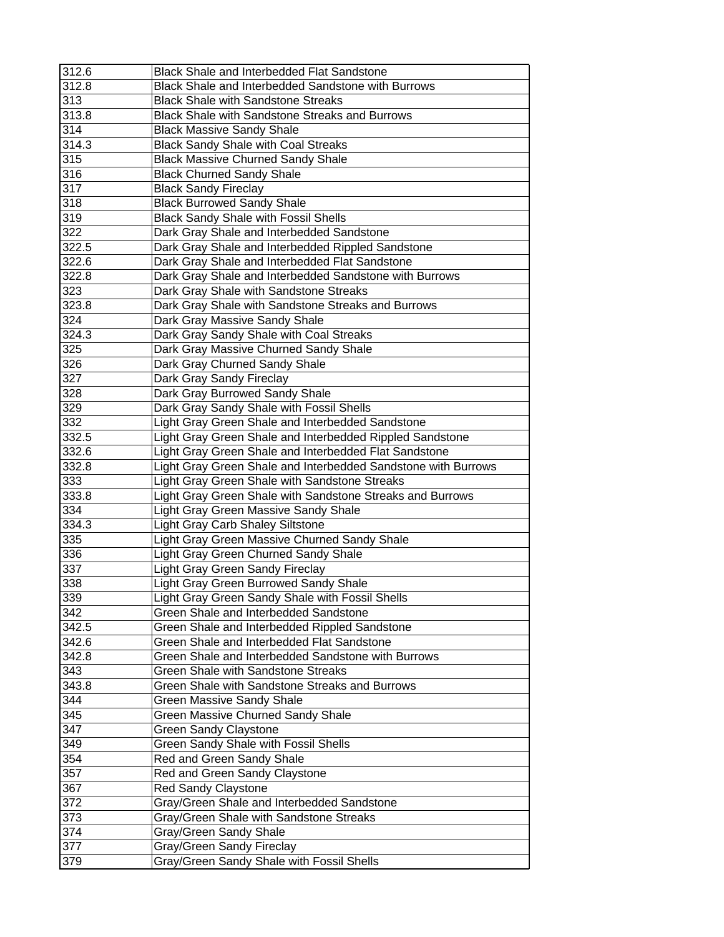| 312.6 | <b>Black Shale and Interbedded Flat Sandstone</b>             |
|-------|---------------------------------------------------------------|
| 312.8 | Black Shale and Interbedded Sandstone with Burrows            |
| 313   | <b>Black Shale with Sandstone Streaks</b>                     |
| 313.8 | Black Shale with Sandstone Streaks and Burrows                |
| 314   | <b>Black Massive Sandy Shale</b>                              |
| 314.3 | <b>Black Sandy Shale with Coal Streaks</b>                    |
| 315   | <b>Black Massive Churned Sandy Shale</b>                      |
| 316   | <b>Black Churned Sandy Shale</b>                              |
| 317   | <b>Black Sandy Fireclay</b>                                   |
| 318   | <b>Black Burrowed Sandy Shale</b>                             |
| 319   | <b>Black Sandy Shale with Fossil Shells</b>                   |
| 322   | Dark Gray Shale and Interbedded Sandstone                     |
| 322.5 | Dark Gray Shale and Interbedded Rippled Sandstone             |
| 322.6 | Dark Gray Shale and Interbedded Flat Sandstone                |
| 322.8 | Dark Gray Shale and Interbedded Sandstone with Burrows        |
| 323   | Dark Gray Shale with Sandstone Streaks                        |
| 323.8 | Dark Gray Shale with Sandstone Streaks and Burrows            |
| 324   | Dark Gray Massive Sandy Shale                                 |
| 324.3 | Dark Gray Sandy Shale with Coal Streaks                       |
| 325   | Dark Gray Massive Churned Sandy Shale                         |
| 326   | Dark Gray Churned Sandy Shale                                 |
| 327   | Dark Gray Sandy Fireclay                                      |
| 328   | Dark Gray Burrowed Sandy Shale                                |
| 329   | Dark Gray Sandy Shale with Fossil Shells                      |
| 332   | Light Gray Green Shale and Interbedded Sandstone              |
| 332.5 | Light Gray Green Shale and Interbedded Rippled Sandstone      |
| 332.6 | Light Gray Green Shale and Interbedded Flat Sandstone         |
| 332.8 | Light Gray Green Shale and Interbedded Sandstone with Burrows |
| 333   | Light Gray Green Shale with Sandstone Streaks                 |
| 333.8 | Light Gray Green Shale with Sandstone Streaks and Burrows     |
| 334   | Light Gray Green Massive Sandy Shale                          |
| 334.3 | <b>Light Gray Carb Shaley Siltstone</b>                       |
| 335   | Light Gray Green Massive Churned Sandy Shale                  |
| 336   | Light Gray Green Churned Sandy Shale                          |
| 337   | Light Gray Green Sandy Fireclay                               |
| 338   | Light Gray Green Burrowed Sandy Shale                         |
| 339   | Light Gray Green Sandy Shale with Fossil Shells               |
| 342   | Green Shale and Interbedded Sandstone                         |
| 342.5 | Green Shale and Interbedded Rippled Sandstone                 |
| 342.6 | Green Shale and Interbedded Flat Sandstone                    |
| 342.8 | Green Shale and Interbedded Sandstone with Burrows            |
| 343   | Green Shale with Sandstone Streaks                            |
| 343.8 | Green Shale with Sandstone Streaks and Burrows                |
| 344   | <b>Green Massive Sandy Shale</b>                              |
| 345   | <b>Green Massive Churned Sandy Shale</b>                      |
| 347   | <b>Green Sandy Claystone</b>                                  |
| 349   | Green Sandy Shale with Fossil Shells                          |
| 354   | Red and Green Sandy Shale                                     |
| 357   | Red and Green Sandy Claystone                                 |
| 367   | <b>Red Sandy Claystone</b>                                    |
| 372   | Gray/Green Shale and Interbedded Sandstone                    |
| 373   | Gray/Green Shale with Sandstone Streaks                       |
| 374   | Gray/Green Sandy Shale                                        |
| 377   | Gray/Green Sandy Fireclay                                     |
| 379   | Gray/Green Sandy Shale with Fossil Shells                     |
|       |                                                               |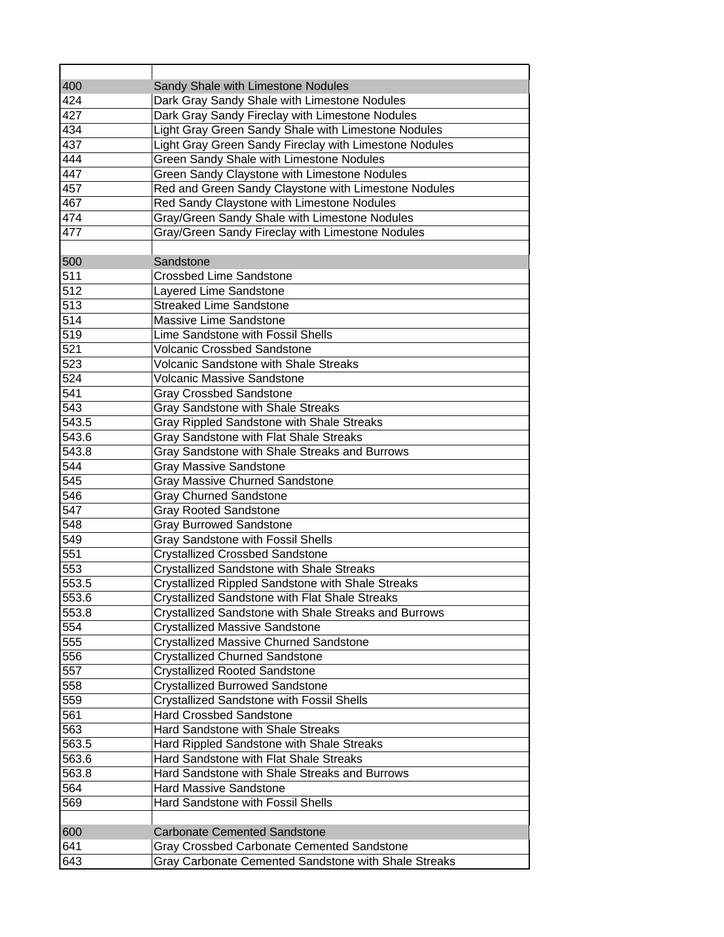| 400   | Sandy Shale with Limestone Nodules                     |
|-------|--------------------------------------------------------|
| 424   | Dark Gray Sandy Shale with Limestone Nodules           |
| 427   | Dark Gray Sandy Fireclay with Limestone Nodules        |
| 434   | Light Gray Green Sandy Shale with Limestone Nodules    |
| 437   | Light Gray Green Sandy Fireclay with Limestone Nodules |
| 444   | <b>Green Sandy Shale with Limestone Nodules</b>        |
| 447   | Green Sandy Claystone with Limestone Nodules           |
| 457   | Red and Green Sandy Claystone with Limestone Nodules   |
| 467   | Red Sandy Claystone with Limestone Nodules             |
| 474   | Gray/Green Sandy Shale with Limestone Nodules          |
| 477   | Gray/Green Sandy Fireclay with Limestone Nodules       |
|       |                                                        |
| 500   | Sandstone                                              |
| 511   | <b>Crossbed Lime Sandstone</b>                         |
| 512   | Layered Lime Sandstone                                 |
| 513   | <b>Streaked Lime Sandstone</b>                         |
| 514   | Massive Lime Sandstone                                 |
| 519   | Lime Sandstone with Fossil Shells                      |
| 521   | <b>Volcanic Crossbed Sandstone</b>                     |
| 523   | Volcanic Sandstone with Shale Streaks                  |
| 524   | <b>Volcanic Massive Sandstone</b>                      |
| 541   | <b>Gray Crossbed Sandstone</b>                         |
| 543   | Gray Sandstone with Shale Streaks                      |
| 543.5 | Gray Rippled Sandstone with Shale Streaks              |
| 543.6 | Gray Sandstone with Flat Shale Streaks                 |
| 543.8 | Gray Sandstone with Shale Streaks and Burrows          |
| 544   | <b>Gray Massive Sandstone</b>                          |
| 545   | <b>Gray Massive Churned Sandstone</b>                  |
| 546   | <b>Gray Churned Sandstone</b>                          |
| 547   | <b>Gray Rooted Sandstone</b>                           |
| 548   | <b>Gray Burrowed Sandstone</b>                         |
| 549   | <b>Gray Sandstone with Fossil Shells</b>               |
| 551   | <b>Crystallized Crossbed Sandstone</b>                 |
| 553   | <b>Crystallized Sandstone with Shale Streaks</b>       |
| 553.5 | Crystallized Rippled Sandstone with Shale Streaks      |
| 553.6 | Crystallized Sandstone with Flat Shale Streaks         |
| 553.8 | Crystallized Sandstone with Shale Streaks and Burrows  |
| 554   | <b>Crystallized Massive Sandstone</b>                  |
| 555   | <b>Crystallized Massive Churned Sandstone</b>          |
| 556   | <b>Crystallized Churned Sandstone</b>                  |
| 557   | <b>Crystallized Rooted Sandstone</b>                   |
| 558   | <b>Crystallized Burrowed Sandstone</b>                 |
| 559   | <b>Crystallized Sandstone with Fossil Shells</b>       |
| 561   | <b>Hard Crossbed Sandstone</b>                         |
| 563   | Hard Sandstone with Shale Streaks                      |
| 563.5 | Hard Rippled Sandstone with Shale Streaks              |
| 563.6 | Hard Sandstone with Flat Shale Streaks                 |
| 563.8 | Hard Sandstone with Shale Streaks and Burrows          |
| 564   | <b>Hard Massive Sandstone</b>                          |
| 569   | Hard Sandstone with Fossil Shells                      |
|       |                                                        |
| 600   | <b>Carbonate Cemented Sandstone</b>                    |
| 641   | Gray Crossbed Carbonate Cemented Sandstone             |
| 643   | Gray Carbonate Cemented Sandstone with Shale Streaks   |
|       |                                                        |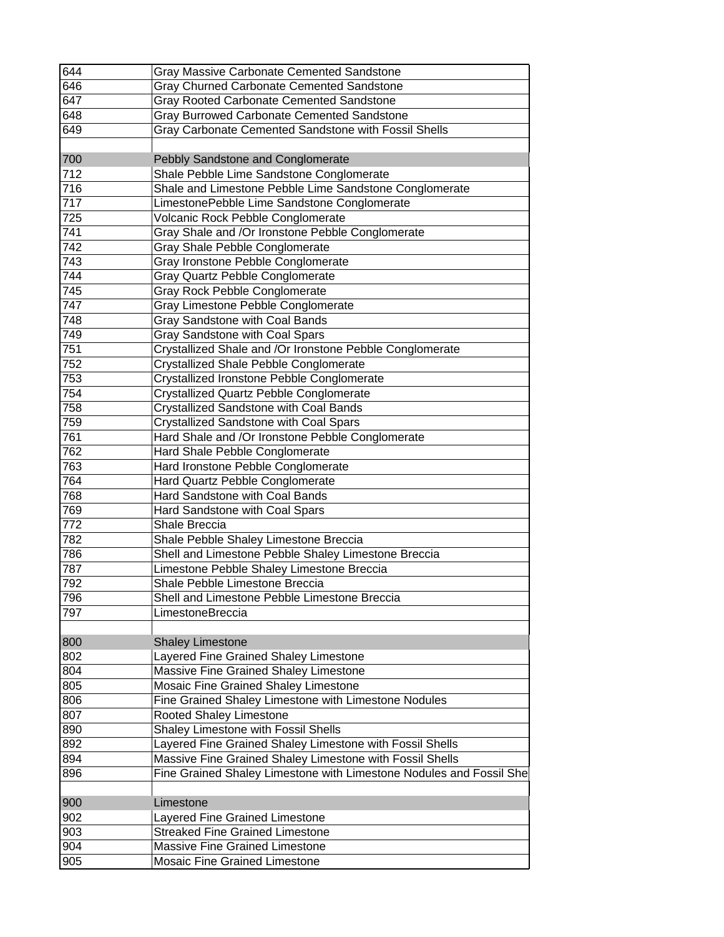| 644 | <b>Gray Massive Carbonate Cemented Sandstone</b>                         |
|-----|--------------------------------------------------------------------------|
| 646 | <b>Gray Churned Carbonate Cemented Sandstone</b>                         |
| 647 | Gray Rooted Carbonate Cemented Sandstone                                 |
| 648 | Gray Burrowed Carbonate Cemented Sandstone                               |
| 649 | Gray Carbonate Cemented Sandstone with Fossil Shells                     |
|     |                                                                          |
| 700 | Pebbly Sandstone and Conglomerate                                        |
| 712 | Shale Pebble Lime Sandstone Conglomerate                                 |
| 716 | Shale and Limestone Pebble Lime Sandstone Conglomerate                   |
| 717 | LimestonePebble Lime Sandstone Conglomerate                              |
| 725 | Volcanic Rock Pebble Conglomerate                                        |
| 741 | Gray Shale and /Or Ironstone Pebble Conglomerate                         |
| 742 | Gray Shale Pebble Conglomerate                                           |
| 743 | Gray Ironstone Pebble Conglomerate                                       |
| 744 | Gray Quartz Pebble Conglomerate                                          |
| 745 | Gray Rock Pebble Conglomerate                                            |
| 747 | Gray Limestone Pebble Conglomerate                                       |
| 748 | Gray Sandstone with Coal Bands                                           |
| 749 | Gray Sandstone with Coal Spars                                           |
| 751 | Crystallized Shale and /Or Ironstone Pebble Conglomerate                 |
| 752 | <b>Crystallized Shale Pebble Conglomerate</b>                            |
| 753 | Crystallized Ironstone Pebble Conglomerate                               |
| 754 | Crystallized Quartz Pebble Conglomerate                                  |
| 758 | <b>Crystallized Sandstone with Coal Bands</b>                            |
| 759 | <b>Crystallized Sandstone with Coal Spars</b>                            |
| 761 | Hard Shale and /Or Ironstone Pebble Conglomerate                         |
| 762 | Hard Shale Pebble Conglomerate                                           |
| 763 | Hard Ironstone Pebble Conglomerate                                       |
| 764 | Hard Quartz Pebble Conglomerate                                          |
| 768 | Hard Sandstone with Coal Bands                                           |
| 769 | Hard Sandstone with Coal Spars                                           |
| 772 | Shale Breccia                                                            |
| 782 | Shale Pebble Shaley Limestone Breccia                                    |
| 786 | Shell and Limestone Pebble Shaley Limestone Breccia                      |
| 787 | Limestone Pebble Shaley Limestone Breccia                                |
| 792 | Shale Pebble Limestone Breccia                                           |
| 796 | Shell and Limestone Pebble Limestone Breccia                             |
| 797 | <b>LimestoneBreccia</b>                                                  |
|     |                                                                          |
| 800 | <b>Shaley Limestone</b>                                                  |
| 802 | Layered Fine Grained Shaley Limestone                                    |
| 804 | Massive Fine Grained Shaley Limestone                                    |
| 805 | Mosaic Fine Grained Shaley Limestone                                     |
| 806 | Fine Grained Shaley Limestone with Limestone Nodules                     |
| 807 | Rooted Shaley Limestone                                                  |
| 890 | Shaley Limestone with Fossil Shells                                      |
| 892 | Layered Fine Grained Shaley Limestone with Fossil Shells                 |
| 894 | Massive Fine Grained Shaley Limestone with Fossil Shells                 |
| 896 |                                                                          |
|     | Fine Grained Shaley Limestone with Limestone Nodules and Fossil She      |
| 900 | Limestone                                                                |
| 902 |                                                                          |
| 903 | Layered Fine Grained Limestone<br><b>Streaked Fine Grained Limestone</b> |
| 904 | <b>Massive Fine Grained Limestone</b>                                    |
|     |                                                                          |
| 905 | Mosaic Fine Grained Limestone                                            |